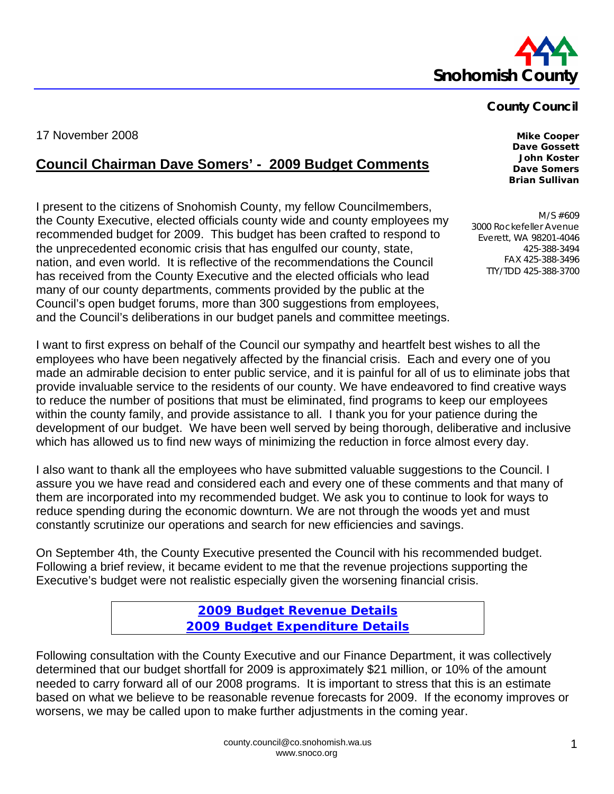

## **County Council**

17 November 2008 **Mike Cooper** 

## **Council Chairman Dave Somers' - 2009 Budget Comments**

I present to the citizens of Snohomish County, my fellow Councilmembers, the County Executive, elected officials county wide and county employees my recommended budget for 2009. This budget has been crafted to respond to the unprecedented economic crisis that has engulfed our county, state, nation, and even world. It is reflective of the recommendations the Council has received from the County Executive and the elected officials who lead many of our county departments, comments provided by the public at the Council's open budget forums, more than 300 suggestions from employees, and the Council's deliberations in our budget panels and committee meetings.

I want to first express on behalf of the Council our sympathy and heartfelt best wishes to all the employees who have been negatively affected by the financial crisis. Each and every one of you made an admirable decision to enter public service, and it is painful for all of us to eliminate jobs that provide invaluable service to the residents of our county. We have endeavored to find creative ways to reduce the number of positions that must be eliminated, find programs to keep our employees within the county family, and provide assistance to all. I thank you for your patience during the development of our budget. We have been well served by being thorough, deliberative and inclusive which has allowed us to find new ways of minimizing the reduction in force almost every day.

I also want to thank all the employees who have submitted valuable suggestions to the Council. I assure you we have read and considered each and every one of these comments and that many of them are incorporated into my recommended budget. We ask you to continue to look for ways to reduce spending during the economic downturn. We are not through the woods yet and must constantly scrutinize our operations and search for new efficiencies and savings.

On September 4th, the County Executive presented the Council with his recommended budget. Following a brief review, it became evident to me that the revenue projections supporting the Executive's budget were not realistic especially given the worsening financial crisis.

> **[2009 Budget Revenue Details](http://www.co.snohomish.wa.us/documents/Departments/Council/News/Council_RevenueDetail.pdf) [2009 Budget Expenditure Details](http://www.co.snohomish.wa.us/documents/Departments/Council/News/Council_ExpenditureDetail.pdf)**

Following consultation with the County Executive and our Finance Department, it was collectively determined that our budget shortfall for 2009 is approximately \$21 million, or 10% of the amount needed to carry forward all of our 2008 programs. It is important to stress that this is an estimate based on what we believe to be reasonable revenue forecasts for 2009. If the economy improves or worsens, we may be called upon to make further adjustments in the coming year.

**Dave Gossett John Koster Dave Somers Brian Sullivan** 

M/S #609 3000 Rockefeller Avenue Everett, WA 98201-4046 425-388-3494 FAX 425-388-3496 TTY/TDD 425-388-3700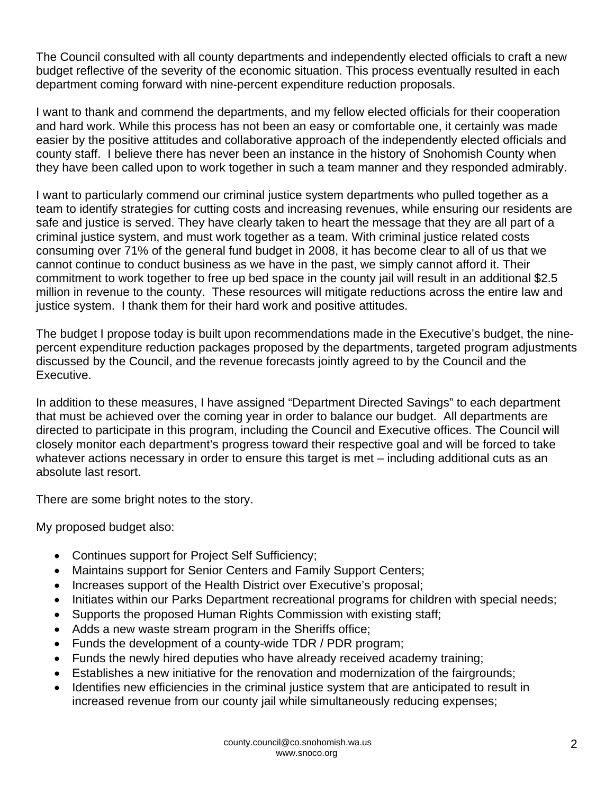The Council consulted with all county departments and independently elected officials to craft a new budget reflective of the severity of the economic situation. This process eventually resulted in each department coming forward with nine-percent expenditure reduction proposals.

I want to thank and commend the departments, and my fellow elected officials for their cooperation and hard work. While this process has not been an easy or comfortable one, it certainly was made easier by the positive attitudes and collaborative approach of the independently elected officials and county staff. I believe there has never been an instance in the history of Snohomish County when they have been called upon to work together in such a team manner and they responded admirably.

I want to particularly commend our criminal justice system departments who pulled together as a team to identify strategies for cutting costs and increasing revenues, while ensuring our residents are safe and justice is served. They have clearly taken to heart the message that they are all part of a criminal justice system, and must work together as a team. With criminal justice related costs consuming over 71% of the general fund budget in 2008, it has become clear to all of us that we cannot continue to conduct business as we have in the past, we simply cannot afford it. Their commitment to work together to free up bed space in the county jail will result in an additional \$2.5 million in revenue to the county. These resources will mitigate reductions across the entire law and justice system. I thank them for their hard work and positive attitudes.

The budget I propose today is built upon recommendations made in the Executive's budget, the ninepercent expenditure reduction packages proposed by the departments, targeted program adjustments discussed by the Council, and the revenue forecasts jointly agreed to by the Council and the Executive.

In addition to these measures, I have assigned "Department Directed Savings" to each department that must be achieved over the coming year in order to balance our budget. All departments are directed to participate in this program, including the Council and Executive offices. The Council will closely monitor each department's progress toward their respective goal and will be forced to take whatever actions necessary in order to ensure this target is met – including additional cuts as an absolute last resort.

There are some bright notes to the story.

My proposed budget also:

- Continues support for Project Self Sufficiency;
- Maintains support for Senior Centers and Family Support Centers;
- Increases support of the Health District over Executive's proposal;
- Initiates within our Parks Department recreational programs for children with special needs;
- Supports the proposed Human Rights Commission with existing staff;
- Adds a new waste stream program in the Sheriffs office;
- Funds the development of a county-wide TDR / PDR program;
- Funds the newly hired deputies who have already received academy training;
- Establishes a new initiative for the renovation and modernization of the fairgrounds;
- Identifies new efficiencies in the criminal justice system that are anticipated to result in increased revenue from our county jail while simultaneously reducing expenses;